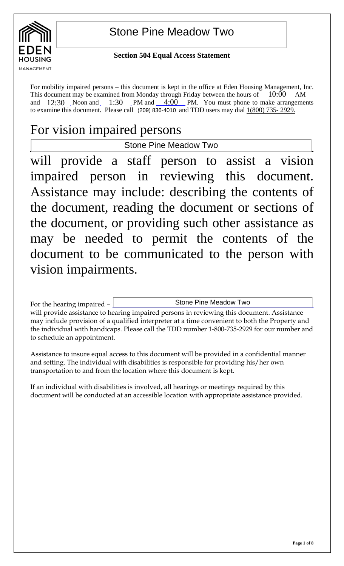

 $\overline{\phantom{a}}$ 

# Stone Pine Meadow Two

### **Section 504 Equal Access Statement**

For mobility impaired persons – this document is kept in the office at Eden Housing Management, Inc. This document may be examined from Monday through Friday between the hours of  $\_10:00$  AM and  $12:30$  Noon and  $1:30$  PM and  $4:00$  PM. You must phone to make arrangements to examine this document. Please call  $(209)$  836-4010 and TDD users may dial  $1(800)$  735- 2929. Noon and  $1:30$ 

# For vision impaired persons

Stone Pine Meadow Two

will provide a staff person to assist a vision impaired person in reviewing this document. Assistance may include: describing the contents of the document, reading the document or sections of the document, or providing such other assistance as may be needed to permit the contents of the document to be communicated to the person with vision impairments.

For the hearing impaired – will provide assistance to hearing impaired persons in reviewing this document. Assistance may include provision of a qualified interpreter at a time convenient to both the Property and the individual with handicaps. Please call the TDD number 1-800-735-2929 for our number and to schedule an appointment. Stone Pine Meadow Two

Assistance to insure equal access to this document will be provided in a confidential manner and setting. The individual with disabilities is responsible for providing his/her own transportation to and from the location where this document is kept.

If an individual with disabilities is involved, all hearings or meetings required by this document will be conducted at an accessible location with appropriate assistance provided.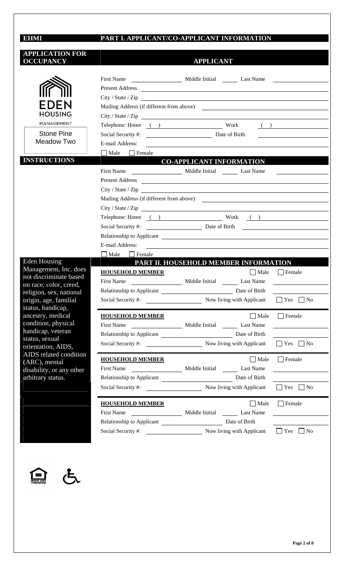# **EHMI**

## **PART I. APPLICANT/CO-APPLICANT INFORMATION**

| <b>APPLICATION FOR</b><br><b>OCCUPANCY</b>                                                                  | <b>APPLICANT</b>                                                          |                                                                                                                       |                                                                                                                                                                                                                                      |  |
|-------------------------------------------------------------------------------------------------------------|---------------------------------------------------------------------------|-----------------------------------------------------------------------------------------------------------------------|--------------------------------------------------------------------------------------------------------------------------------------------------------------------------------------------------------------------------------------|--|
|                                                                                                             |                                                                           |                                                                                                                       |                                                                                                                                                                                                                                      |  |
|                                                                                                             |                                                                           |                                                                                                                       |                                                                                                                                                                                                                                      |  |
|                                                                                                             |                                                                           |                                                                                                                       |                                                                                                                                                                                                                                      |  |
| EDEN                                                                                                        |                                                                           | City / State / Zip                                                                                                    |                                                                                                                                                                                                                                      |  |
| <b>HOUSING</b>                                                                                              |                                                                           |                                                                                                                       |                                                                                                                                                                                                                                      |  |
| MANAGEMENT                                                                                                  |                                                                           |                                                                                                                       |                                                                                                                                                                                                                                      |  |
| <b>Stone Pine</b><br>Meadow Two                                                                             |                                                                           | Telephone: Home ( ) Work ( )                                                                                          |                                                                                                                                                                                                                                      |  |
|                                                                                                             |                                                                           |                                                                                                                       | <u> 1989 - Johann Stein, fransk kampens</u>                                                                                                                                                                                          |  |
|                                                                                                             | E-mail Address:                                                           | <u> 1989 - Johann John Stone, markin fan de Amerikaansk kommunister op de Amerikaansk kommunister op de Amerikaan</u> |                                                                                                                                                                                                                                      |  |
| <b>INSTRUCTIONS</b>                                                                                         | Male<br>$\Box$ Female                                                     | <b>CO-APPLICANT INFORMATION</b>                                                                                       |                                                                                                                                                                                                                                      |  |
|                                                                                                             |                                                                           |                                                                                                                       |                                                                                                                                                                                                                                      |  |
|                                                                                                             |                                                                           |                                                                                                                       |                                                                                                                                                                                                                                      |  |
|                                                                                                             |                                                                           | Present Address Present Address                                                                                       |                                                                                                                                                                                                                                      |  |
|                                                                                                             |                                                                           | City / State / Zip                                                                                                    |                                                                                                                                                                                                                                      |  |
|                                                                                                             |                                                                           | Mailing Address (if different from above)                                                                             |                                                                                                                                                                                                                                      |  |
|                                                                                                             |                                                                           |                                                                                                                       |                                                                                                                                                                                                                                      |  |
|                                                                                                             |                                                                           | Telephone: Home () Work ()                                                                                            |                                                                                                                                                                                                                                      |  |
|                                                                                                             |                                                                           | Social Security #: Date of Birth<br>Date of Birth<br>Date of Birth<br>2014                                            |                                                                                                                                                                                                                                      |  |
|                                                                                                             |                                                                           | Relationship to Applicant                                                                                             |                                                                                                                                                                                                                                      |  |
|                                                                                                             | E-mail Address:                                                           | <u> 1989 - John Stone, amerikansk politiker (d. 1989)</u>                                                             |                                                                                                                                                                                                                                      |  |
| <b>Eden Housing</b>                                                                                         | $\Box$ Male $\Box$ Female<br><b>PART II. HOUSEHOLD MEMBER INFORMATION</b> |                                                                                                                       |                                                                                                                                                                                                                                      |  |
| Management, Inc. does<br>not discriminate based<br>on race, color, creed,                                   | <b>HOUSEHOLD MEMBER</b>                                                   |                                                                                                                       | $\Box$ Male $\Box$ Female                                                                                                                                                                                                            |  |
|                                                                                                             |                                                                           |                                                                                                                       |                                                                                                                                                                                                                                      |  |
|                                                                                                             |                                                                           | Relationship to Applicant Date of Birth                                                                               |                                                                                                                                                                                                                                      |  |
| religion, sex, national                                                                                     | Social Security #:                                                        | Now living with Applicant $\Box$ Yes $\Box$ No                                                                        |                                                                                                                                                                                                                                      |  |
| origin, age, familial<br>status, handicap,                                                                  |                                                                           |                                                                                                                       |                                                                                                                                                                                                                                      |  |
| ancestry, medical                                                                                           | <b>HOUSEHOLD MEMBER</b>                                                   | $\Box$ Male                                                                                                           | $\Box$ Female                                                                                                                                                                                                                        |  |
| condition, physical                                                                                         |                                                                           |                                                                                                                       |                                                                                                                                                                                                                                      |  |
| handicap, veteran<br>status, sexual<br>orientation, AIDS,<br><b>AIDS</b> related condition<br>(ARC), mental |                                                                           |                                                                                                                       |                                                                                                                                                                                                                                      |  |
|                                                                                                             |                                                                           | Social Security #: Now living with Applicant                                                                          | $\Box$ Yes $\Box$ No                                                                                                                                                                                                                 |  |
|                                                                                                             |                                                                           |                                                                                                                       |                                                                                                                                                                                                                                      |  |
|                                                                                                             | <b>HOUSEHOLD MEMBER</b>                                                   | $\Box$ Male                                                                                                           | $\Box$ Female                                                                                                                                                                                                                        |  |
| disability, or any other                                                                                    |                                                                           | First Name Middle Initial Last Name                                                                                   | <u> 1980 - Andrea Station, amerikansk politik (</u>                                                                                                                                                                                  |  |
| arbitrary status.                                                                                           |                                                                           |                                                                                                                       |                                                                                                                                                                                                                                      |  |
|                                                                                                             |                                                                           |                                                                                                                       | $\Box$ Yes $\Box$ No                                                                                                                                                                                                                 |  |
|                                                                                                             | <b>HOUSEHOLD MEMBER</b>                                                   | $\Box$ Male                                                                                                           | $\Box$ Female                                                                                                                                                                                                                        |  |
|                                                                                                             |                                                                           | First Name Middle Initial Last Name                                                                                   | <u>and the state of the state of the state of the state of the state of the state of the state of the state of the state of the state of the state of the state of the state of the state of the state of the state of the state</u> |  |
|                                                                                                             |                                                                           |                                                                                                                       |                                                                                                                                                                                                                                      |  |
|                                                                                                             |                                                                           | Social Security #: Now living with Applicant                                                                          | $\Box$ Yes $\Box$ No                                                                                                                                                                                                                 |  |
|                                                                                                             |                                                                           |                                                                                                                       |                                                                                                                                                                                                                                      |  |
|                                                                                                             |                                                                           |                                                                                                                       |                                                                                                                                                                                                                                      |  |



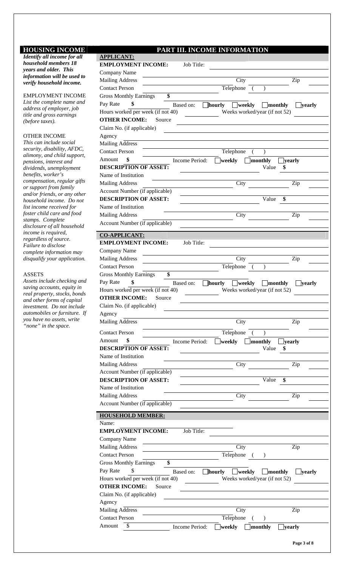#### **HOUSING INCOME** P

*Identify all income for all household members 18 years and older. This information will be used to verify household income.* 

EMPLOYMENT INCOME *List the complete name and address of employer, job title and gross earnings (before taxes).* 

#### OTHER INCOME

*This can include social security, disability, AFDC, alimony, and child support, pensions, interest and dividends, unemployment benefits, worker's compensation, regular gifts or support from family and/or friends, or any other household income. Do not list income received for foster child care and food stamps. Complete disclosure of all household income is required, regardless of source. Failure to disclose complete information may disqualify your application.* 

#### ASSETS

*Assets include checking and saving accounts, equity in real property, stocks, bonds and other forms of capital investment. Do not include automobiles or furniture. If you have no assets, write*  "none" in the space.

| ART III. INCOME INFORMATION |
|-----------------------------|
|-----------------------------|

| <b>EMPLOYMENT INCOME:</b><br>Job Title:<br>Company Name<br><b>Mailing Address</b><br>City<br>Zip<br><b>Contact Person</b><br>Telephone<br><b>Gross Monthly Earnings</b><br>\$<br>\$<br>Pay Rate<br>Based on:<br>$\Box$ hourly<br>$\Box$ weekly<br>$\blacksquare$ monthly<br>__ yearly<br>Hours worked per week (if not 40)<br>Weeks worked/year (if not 52)<br><b>OTHER INCOME:</b><br>Source<br>Claim No. (if applicable)<br>Agency<br><b>Mailing Address</b><br><b>Contact Person</b><br>Telephone<br>$\mathcal{E}$<br>Amount<br>weekly<br>]monthly<br>Income Period:<br><b>Jyearly</b><br><b>DESCRIPTION OF ASSET:</b><br>Value<br>\$<br>Name of Institution<br><b>Mailing Address</b><br>City<br>Zip<br>Account Number (if applicable)<br><b>DESCRIPTION OF ASSET:</b><br>Value<br>\$<br>Name of Institution<br>City<br><b>Mailing Address</b><br>Zip<br>Account Number (if applicable)<br><b>CO-APPLICANT:</b><br><b>EMPLOYMENT INCOME:</b><br>Job Title:<br>Company Name<br><b>Mailing Address</b><br>City<br>Zip<br><b>Contact Person</b><br>Telephone<br>$\lambda$<br>\$<br><b>Gross Monthly Earnings</b><br>Pay Rate<br>\$<br>Based on:<br>weekly<br>monthly<br>$\bigsqcup$ hourly<br><u> </u> yearly<br>Hours worked per week (if not 40)<br>Weeks worked/year (if not 52)<br><b>OTHER INCOME:</b><br>Source<br>Claim No. (if applicable)<br>Agency<br><b>Mailing Address</b><br>City<br>Zip<br><b>Contact Person</b><br>Telephone<br>\$<br>Amount<br>weekly<br>Income Period:<br>monthly<br><b>yearly</b><br><b>DESCRIPTION OF ASSET:</b><br>Value<br>\$<br>Name of Institution<br>City<br><b>Mailing Address</b><br>Zip<br>Account Number (if applicable)<br><b>DESCRIPTION OF ASSET:</b><br>Value<br>\$<br>Name of Institution<br><b>Mailing Address</b><br>City<br>Zip<br>Account Number (if applicable)<br><b>HOUSEHOLD MEMBER:</b><br>Name:<br><b>EMPLOYMENT INCOME:</b><br>Job Title:<br>Company Name<br><b>Mailing Address</b><br>City<br>Zip<br><b>Contact Person</b><br>Telephone<br>$\overline{a}$<br>$\lambda$<br>\$<br><b>Gross Monthly Earnings</b><br>\$<br>Pay Rate<br>Based on:<br>weekly<br>$\Box$ hourly<br>monthly<br><b>Jyearly</b><br>Hours worked per week (if not 40)<br>Weeks worked/year (if not 52)<br><b>OTHER INCOME:</b><br>Source<br>Claim No. (if applicable)<br>Agency<br><b>Mailing Address</b><br>City<br>Zip<br><b>Contact Person</b><br>Telephone<br>$\lambda$<br>(<br>Amount<br>S<br>weekly<br>Income Period:<br>monthly<br> yearly | <b>APPLICANT:</b> |
|-------------------------------------------------------------------------------------------------------------------------------------------------------------------------------------------------------------------------------------------------------------------------------------------------------------------------------------------------------------------------------------------------------------------------------------------------------------------------------------------------------------------------------------------------------------------------------------------------------------------------------------------------------------------------------------------------------------------------------------------------------------------------------------------------------------------------------------------------------------------------------------------------------------------------------------------------------------------------------------------------------------------------------------------------------------------------------------------------------------------------------------------------------------------------------------------------------------------------------------------------------------------------------------------------------------------------------------------------------------------------------------------------------------------------------------------------------------------------------------------------------------------------------------------------------------------------------------------------------------------------------------------------------------------------------------------------------------------------------------------------------------------------------------------------------------------------------------------------------------------------------------------------------------------------------------------------------------------------------------------------------------------------------------------------------------------------------------------------------------------------------------------------------------------------------------------------------------------------------------------------------------------------------------------------------------------------------------------------------------------------------------------------------------------------------------------------------------------------------------|-------------------|
|                                                                                                                                                                                                                                                                                                                                                                                                                                                                                                                                                                                                                                                                                                                                                                                                                                                                                                                                                                                                                                                                                                                                                                                                                                                                                                                                                                                                                                                                                                                                                                                                                                                                                                                                                                                                                                                                                                                                                                                                                                                                                                                                                                                                                                                                                                                                                                                                                                                                                     |                   |
|                                                                                                                                                                                                                                                                                                                                                                                                                                                                                                                                                                                                                                                                                                                                                                                                                                                                                                                                                                                                                                                                                                                                                                                                                                                                                                                                                                                                                                                                                                                                                                                                                                                                                                                                                                                                                                                                                                                                                                                                                                                                                                                                                                                                                                                                                                                                                                                                                                                                                     |                   |
|                                                                                                                                                                                                                                                                                                                                                                                                                                                                                                                                                                                                                                                                                                                                                                                                                                                                                                                                                                                                                                                                                                                                                                                                                                                                                                                                                                                                                                                                                                                                                                                                                                                                                                                                                                                                                                                                                                                                                                                                                                                                                                                                                                                                                                                                                                                                                                                                                                                                                     |                   |
|                                                                                                                                                                                                                                                                                                                                                                                                                                                                                                                                                                                                                                                                                                                                                                                                                                                                                                                                                                                                                                                                                                                                                                                                                                                                                                                                                                                                                                                                                                                                                                                                                                                                                                                                                                                                                                                                                                                                                                                                                                                                                                                                                                                                                                                                                                                                                                                                                                                                                     |                   |
|                                                                                                                                                                                                                                                                                                                                                                                                                                                                                                                                                                                                                                                                                                                                                                                                                                                                                                                                                                                                                                                                                                                                                                                                                                                                                                                                                                                                                                                                                                                                                                                                                                                                                                                                                                                                                                                                                                                                                                                                                                                                                                                                                                                                                                                                                                                                                                                                                                                                                     |                   |
|                                                                                                                                                                                                                                                                                                                                                                                                                                                                                                                                                                                                                                                                                                                                                                                                                                                                                                                                                                                                                                                                                                                                                                                                                                                                                                                                                                                                                                                                                                                                                                                                                                                                                                                                                                                                                                                                                                                                                                                                                                                                                                                                                                                                                                                                                                                                                                                                                                                                                     |                   |
|                                                                                                                                                                                                                                                                                                                                                                                                                                                                                                                                                                                                                                                                                                                                                                                                                                                                                                                                                                                                                                                                                                                                                                                                                                                                                                                                                                                                                                                                                                                                                                                                                                                                                                                                                                                                                                                                                                                                                                                                                                                                                                                                                                                                                                                                                                                                                                                                                                                                                     |                   |
|                                                                                                                                                                                                                                                                                                                                                                                                                                                                                                                                                                                                                                                                                                                                                                                                                                                                                                                                                                                                                                                                                                                                                                                                                                                                                                                                                                                                                                                                                                                                                                                                                                                                                                                                                                                                                                                                                                                                                                                                                                                                                                                                                                                                                                                                                                                                                                                                                                                                                     |                   |
|                                                                                                                                                                                                                                                                                                                                                                                                                                                                                                                                                                                                                                                                                                                                                                                                                                                                                                                                                                                                                                                                                                                                                                                                                                                                                                                                                                                                                                                                                                                                                                                                                                                                                                                                                                                                                                                                                                                                                                                                                                                                                                                                                                                                                                                                                                                                                                                                                                                                                     |                   |
|                                                                                                                                                                                                                                                                                                                                                                                                                                                                                                                                                                                                                                                                                                                                                                                                                                                                                                                                                                                                                                                                                                                                                                                                                                                                                                                                                                                                                                                                                                                                                                                                                                                                                                                                                                                                                                                                                                                                                                                                                                                                                                                                                                                                                                                                                                                                                                                                                                                                                     |                   |
|                                                                                                                                                                                                                                                                                                                                                                                                                                                                                                                                                                                                                                                                                                                                                                                                                                                                                                                                                                                                                                                                                                                                                                                                                                                                                                                                                                                                                                                                                                                                                                                                                                                                                                                                                                                                                                                                                                                                                                                                                                                                                                                                                                                                                                                                                                                                                                                                                                                                                     |                   |
|                                                                                                                                                                                                                                                                                                                                                                                                                                                                                                                                                                                                                                                                                                                                                                                                                                                                                                                                                                                                                                                                                                                                                                                                                                                                                                                                                                                                                                                                                                                                                                                                                                                                                                                                                                                                                                                                                                                                                                                                                                                                                                                                                                                                                                                                                                                                                                                                                                                                                     |                   |
|                                                                                                                                                                                                                                                                                                                                                                                                                                                                                                                                                                                                                                                                                                                                                                                                                                                                                                                                                                                                                                                                                                                                                                                                                                                                                                                                                                                                                                                                                                                                                                                                                                                                                                                                                                                                                                                                                                                                                                                                                                                                                                                                                                                                                                                                                                                                                                                                                                                                                     |                   |
|                                                                                                                                                                                                                                                                                                                                                                                                                                                                                                                                                                                                                                                                                                                                                                                                                                                                                                                                                                                                                                                                                                                                                                                                                                                                                                                                                                                                                                                                                                                                                                                                                                                                                                                                                                                                                                                                                                                                                                                                                                                                                                                                                                                                                                                                                                                                                                                                                                                                                     |                   |
|                                                                                                                                                                                                                                                                                                                                                                                                                                                                                                                                                                                                                                                                                                                                                                                                                                                                                                                                                                                                                                                                                                                                                                                                                                                                                                                                                                                                                                                                                                                                                                                                                                                                                                                                                                                                                                                                                                                                                                                                                                                                                                                                                                                                                                                                                                                                                                                                                                                                                     |                   |
|                                                                                                                                                                                                                                                                                                                                                                                                                                                                                                                                                                                                                                                                                                                                                                                                                                                                                                                                                                                                                                                                                                                                                                                                                                                                                                                                                                                                                                                                                                                                                                                                                                                                                                                                                                                                                                                                                                                                                                                                                                                                                                                                                                                                                                                                                                                                                                                                                                                                                     |                   |
|                                                                                                                                                                                                                                                                                                                                                                                                                                                                                                                                                                                                                                                                                                                                                                                                                                                                                                                                                                                                                                                                                                                                                                                                                                                                                                                                                                                                                                                                                                                                                                                                                                                                                                                                                                                                                                                                                                                                                                                                                                                                                                                                                                                                                                                                                                                                                                                                                                                                                     |                   |
|                                                                                                                                                                                                                                                                                                                                                                                                                                                                                                                                                                                                                                                                                                                                                                                                                                                                                                                                                                                                                                                                                                                                                                                                                                                                                                                                                                                                                                                                                                                                                                                                                                                                                                                                                                                                                                                                                                                                                                                                                                                                                                                                                                                                                                                                                                                                                                                                                                                                                     |                   |
|                                                                                                                                                                                                                                                                                                                                                                                                                                                                                                                                                                                                                                                                                                                                                                                                                                                                                                                                                                                                                                                                                                                                                                                                                                                                                                                                                                                                                                                                                                                                                                                                                                                                                                                                                                                                                                                                                                                                                                                                                                                                                                                                                                                                                                                                                                                                                                                                                                                                                     |                   |
|                                                                                                                                                                                                                                                                                                                                                                                                                                                                                                                                                                                                                                                                                                                                                                                                                                                                                                                                                                                                                                                                                                                                                                                                                                                                                                                                                                                                                                                                                                                                                                                                                                                                                                                                                                                                                                                                                                                                                                                                                                                                                                                                                                                                                                                                                                                                                                                                                                                                                     |                   |
|                                                                                                                                                                                                                                                                                                                                                                                                                                                                                                                                                                                                                                                                                                                                                                                                                                                                                                                                                                                                                                                                                                                                                                                                                                                                                                                                                                                                                                                                                                                                                                                                                                                                                                                                                                                                                                                                                                                                                                                                                                                                                                                                                                                                                                                                                                                                                                                                                                                                                     |                   |
|                                                                                                                                                                                                                                                                                                                                                                                                                                                                                                                                                                                                                                                                                                                                                                                                                                                                                                                                                                                                                                                                                                                                                                                                                                                                                                                                                                                                                                                                                                                                                                                                                                                                                                                                                                                                                                                                                                                                                                                                                                                                                                                                                                                                                                                                                                                                                                                                                                                                                     |                   |
|                                                                                                                                                                                                                                                                                                                                                                                                                                                                                                                                                                                                                                                                                                                                                                                                                                                                                                                                                                                                                                                                                                                                                                                                                                                                                                                                                                                                                                                                                                                                                                                                                                                                                                                                                                                                                                                                                                                                                                                                                                                                                                                                                                                                                                                                                                                                                                                                                                                                                     |                   |
|                                                                                                                                                                                                                                                                                                                                                                                                                                                                                                                                                                                                                                                                                                                                                                                                                                                                                                                                                                                                                                                                                                                                                                                                                                                                                                                                                                                                                                                                                                                                                                                                                                                                                                                                                                                                                                                                                                                                                                                                                                                                                                                                                                                                                                                                                                                                                                                                                                                                                     |                   |
|                                                                                                                                                                                                                                                                                                                                                                                                                                                                                                                                                                                                                                                                                                                                                                                                                                                                                                                                                                                                                                                                                                                                                                                                                                                                                                                                                                                                                                                                                                                                                                                                                                                                                                                                                                                                                                                                                                                                                                                                                                                                                                                                                                                                                                                                                                                                                                                                                                                                                     |                   |
|                                                                                                                                                                                                                                                                                                                                                                                                                                                                                                                                                                                                                                                                                                                                                                                                                                                                                                                                                                                                                                                                                                                                                                                                                                                                                                                                                                                                                                                                                                                                                                                                                                                                                                                                                                                                                                                                                                                                                                                                                                                                                                                                                                                                                                                                                                                                                                                                                                                                                     |                   |
|                                                                                                                                                                                                                                                                                                                                                                                                                                                                                                                                                                                                                                                                                                                                                                                                                                                                                                                                                                                                                                                                                                                                                                                                                                                                                                                                                                                                                                                                                                                                                                                                                                                                                                                                                                                                                                                                                                                                                                                                                                                                                                                                                                                                                                                                                                                                                                                                                                                                                     |                   |
|                                                                                                                                                                                                                                                                                                                                                                                                                                                                                                                                                                                                                                                                                                                                                                                                                                                                                                                                                                                                                                                                                                                                                                                                                                                                                                                                                                                                                                                                                                                                                                                                                                                                                                                                                                                                                                                                                                                                                                                                                                                                                                                                                                                                                                                                                                                                                                                                                                                                                     |                   |
|                                                                                                                                                                                                                                                                                                                                                                                                                                                                                                                                                                                                                                                                                                                                                                                                                                                                                                                                                                                                                                                                                                                                                                                                                                                                                                                                                                                                                                                                                                                                                                                                                                                                                                                                                                                                                                                                                                                                                                                                                                                                                                                                                                                                                                                                                                                                                                                                                                                                                     |                   |
|                                                                                                                                                                                                                                                                                                                                                                                                                                                                                                                                                                                                                                                                                                                                                                                                                                                                                                                                                                                                                                                                                                                                                                                                                                                                                                                                                                                                                                                                                                                                                                                                                                                                                                                                                                                                                                                                                                                                                                                                                                                                                                                                                                                                                                                                                                                                                                                                                                                                                     |                   |
|                                                                                                                                                                                                                                                                                                                                                                                                                                                                                                                                                                                                                                                                                                                                                                                                                                                                                                                                                                                                                                                                                                                                                                                                                                                                                                                                                                                                                                                                                                                                                                                                                                                                                                                                                                                                                                                                                                                                                                                                                                                                                                                                                                                                                                                                                                                                                                                                                                                                                     |                   |
|                                                                                                                                                                                                                                                                                                                                                                                                                                                                                                                                                                                                                                                                                                                                                                                                                                                                                                                                                                                                                                                                                                                                                                                                                                                                                                                                                                                                                                                                                                                                                                                                                                                                                                                                                                                                                                                                                                                                                                                                                                                                                                                                                                                                                                                                                                                                                                                                                                                                                     |                   |
|                                                                                                                                                                                                                                                                                                                                                                                                                                                                                                                                                                                                                                                                                                                                                                                                                                                                                                                                                                                                                                                                                                                                                                                                                                                                                                                                                                                                                                                                                                                                                                                                                                                                                                                                                                                                                                                                                                                                                                                                                                                                                                                                                                                                                                                                                                                                                                                                                                                                                     |                   |
|                                                                                                                                                                                                                                                                                                                                                                                                                                                                                                                                                                                                                                                                                                                                                                                                                                                                                                                                                                                                                                                                                                                                                                                                                                                                                                                                                                                                                                                                                                                                                                                                                                                                                                                                                                                                                                                                                                                                                                                                                                                                                                                                                                                                                                                                                                                                                                                                                                                                                     |                   |
|                                                                                                                                                                                                                                                                                                                                                                                                                                                                                                                                                                                                                                                                                                                                                                                                                                                                                                                                                                                                                                                                                                                                                                                                                                                                                                                                                                                                                                                                                                                                                                                                                                                                                                                                                                                                                                                                                                                                                                                                                                                                                                                                                                                                                                                                                                                                                                                                                                                                                     |                   |
|                                                                                                                                                                                                                                                                                                                                                                                                                                                                                                                                                                                                                                                                                                                                                                                                                                                                                                                                                                                                                                                                                                                                                                                                                                                                                                                                                                                                                                                                                                                                                                                                                                                                                                                                                                                                                                                                                                                                                                                                                                                                                                                                                                                                                                                                                                                                                                                                                                                                                     |                   |
|                                                                                                                                                                                                                                                                                                                                                                                                                                                                                                                                                                                                                                                                                                                                                                                                                                                                                                                                                                                                                                                                                                                                                                                                                                                                                                                                                                                                                                                                                                                                                                                                                                                                                                                                                                                                                                                                                                                                                                                                                                                                                                                                                                                                                                                                                                                                                                                                                                                                                     |                   |
|                                                                                                                                                                                                                                                                                                                                                                                                                                                                                                                                                                                                                                                                                                                                                                                                                                                                                                                                                                                                                                                                                                                                                                                                                                                                                                                                                                                                                                                                                                                                                                                                                                                                                                                                                                                                                                                                                                                                                                                                                                                                                                                                                                                                                                                                                                                                                                                                                                                                                     |                   |
|                                                                                                                                                                                                                                                                                                                                                                                                                                                                                                                                                                                                                                                                                                                                                                                                                                                                                                                                                                                                                                                                                                                                                                                                                                                                                                                                                                                                                                                                                                                                                                                                                                                                                                                                                                                                                                                                                                                                                                                                                                                                                                                                                                                                                                                                                                                                                                                                                                                                                     |                   |
|                                                                                                                                                                                                                                                                                                                                                                                                                                                                                                                                                                                                                                                                                                                                                                                                                                                                                                                                                                                                                                                                                                                                                                                                                                                                                                                                                                                                                                                                                                                                                                                                                                                                                                                                                                                                                                                                                                                                                                                                                                                                                                                                                                                                                                                                                                                                                                                                                                                                                     |                   |
|                                                                                                                                                                                                                                                                                                                                                                                                                                                                                                                                                                                                                                                                                                                                                                                                                                                                                                                                                                                                                                                                                                                                                                                                                                                                                                                                                                                                                                                                                                                                                                                                                                                                                                                                                                                                                                                                                                                                                                                                                                                                                                                                                                                                                                                                                                                                                                                                                                                                                     |                   |
|                                                                                                                                                                                                                                                                                                                                                                                                                                                                                                                                                                                                                                                                                                                                                                                                                                                                                                                                                                                                                                                                                                                                                                                                                                                                                                                                                                                                                                                                                                                                                                                                                                                                                                                                                                                                                                                                                                                                                                                                                                                                                                                                                                                                                                                                                                                                                                                                                                                                                     |                   |
|                                                                                                                                                                                                                                                                                                                                                                                                                                                                                                                                                                                                                                                                                                                                                                                                                                                                                                                                                                                                                                                                                                                                                                                                                                                                                                                                                                                                                                                                                                                                                                                                                                                                                                                                                                                                                                                                                                                                                                                                                                                                                                                                                                                                                                                                                                                                                                                                                                                                                     |                   |
|                                                                                                                                                                                                                                                                                                                                                                                                                                                                                                                                                                                                                                                                                                                                                                                                                                                                                                                                                                                                                                                                                                                                                                                                                                                                                                                                                                                                                                                                                                                                                                                                                                                                                                                                                                                                                                                                                                                                                                                                                                                                                                                                                                                                                                                                                                                                                                                                                                                                                     |                   |
|                                                                                                                                                                                                                                                                                                                                                                                                                                                                                                                                                                                                                                                                                                                                                                                                                                                                                                                                                                                                                                                                                                                                                                                                                                                                                                                                                                                                                                                                                                                                                                                                                                                                                                                                                                                                                                                                                                                                                                                                                                                                                                                                                                                                                                                                                                                                                                                                                                                                                     |                   |
|                                                                                                                                                                                                                                                                                                                                                                                                                                                                                                                                                                                                                                                                                                                                                                                                                                                                                                                                                                                                                                                                                                                                                                                                                                                                                                                                                                                                                                                                                                                                                                                                                                                                                                                                                                                                                                                                                                                                                                                                                                                                                                                                                                                                                                                                                                                                                                                                                                                                                     |                   |
|                                                                                                                                                                                                                                                                                                                                                                                                                                                                                                                                                                                                                                                                                                                                                                                                                                                                                                                                                                                                                                                                                                                                                                                                                                                                                                                                                                                                                                                                                                                                                                                                                                                                                                                                                                                                                                                                                                                                                                                                                                                                                                                                                                                                                                                                                                                                                                                                                                                                                     |                   |
|                                                                                                                                                                                                                                                                                                                                                                                                                                                                                                                                                                                                                                                                                                                                                                                                                                                                                                                                                                                                                                                                                                                                                                                                                                                                                                                                                                                                                                                                                                                                                                                                                                                                                                                                                                                                                                                                                                                                                                                                                                                                                                                                                                                                                                                                                                                                                                                                                                                                                     |                   |
|                                                                                                                                                                                                                                                                                                                                                                                                                                                                                                                                                                                                                                                                                                                                                                                                                                                                                                                                                                                                                                                                                                                                                                                                                                                                                                                                                                                                                                                                                                                                                                                                                                                                                                                                                                                                                                                                                                                                                                                                                                                                                                                                                                                                                                                                                                                                                                                                                                                                                     |                   |
|                                                                                                                                                                                                                                                                                                                                                                                                                                                                                                                                                                                                                                                                                                                                                                                                                                                                                                                                                                                                                                                                                                                                                                                                                                                                                                                                                                                                                                                                                                                                                                                                                                                                                                                                                                                                                                                                                                                                                                                                                                                                                                                                                                                                                                                                                                                                                                                                                                                                                     |                   |
|                                                                                                                                                                                                                                                                                                                                                                                                                                                                                                                                                                                                                                                                                                                                                                                                                                                                                                                                                                                                                                                                                                                                                                                                                                                                                                                                                                                                                                                                                                                                                                                                                                                                                                                                                                                                                                                                                                                                                                                                                                                                                                                                                                                                                                                                                                                                                                                                                                                                                     |                   |
|                                                                                                                                                                                                                                                                                                                                                                                                                                                                                                                                                                                                                                                                                                                                                                                                                                                                                                                                                                                                                                                                                                                                                                                                                                                                                                                                                                                                                                                                                                                                                                                                                                                                                                                                                                                                                                                                                                                                                                                                                                                                                                                                                                                                                                                                                                                                                                                                                                                                                     |                   |
|                                                                                                                                                                                                                                                                                                                                                                                                                                                                                                                                                                                                                                                                                                                                                                                                                                                                                                                                                                                                                                                                                                                                                                                                                                                                                                                                                                                                                                                                                                                                                                                                                                                                                                                                                                                                                                                                                                                                                                                                                                                                                                                                                                                                                                                                                                                                                                                                                                                                                     |                   |
|                                                                                                                                                                                                                                                                                                                                                                                                                                                                                                                                                                                                                                                                                                                                                                                                                                                                                                                                                                                                                                                                                                                                                                                                                                                                                                                                                                                                                                                                                                                                                                                                                                                                                                                                                                                                                                                                                                                                                                                                                                                                                                                                                                                                                                                                                                                                                                                                                                                                                     |                   |
|                                                                                                                                                                                                                                                                                                                                                                                                                                                                                                                                                                                                                                                                                                                                                                                                                                                                                                                                                                                                                                                                                                                                                                                                                                                                                                                                                                                                                                                                                                                                                                                                                                                                                                                                                                                                                                                                                                                                                                                                                                                                                                                                                                                                                                                                                                                                                                                                                                                                                     |                   |
|                                                                                                                                                                                                                                                                                                                                                                                                                                                                                                                                                                                                                                                                                                                                                                                                                                                                                                                                                                                                                                                                                                                                                                                                                                                                                                                                                                                                                                                                                                                                                                                                                                                                                                                                                                                                                                                                                                                                                                                                                                                                                                                                                                                                                                                                                                                                                                                                                                                                                     |                   |
|                                                                                                                                                                                                                                                                                                                                                                                                                                                                                                                                                                                                                                                                                                                                                                                                                                                                                                                                                                                                                                                                                                                                                                                                                                                                                                                                                                                                                                                                                                                                                                                                                                                                                                                                                                                                                                                                                                                                                                                                                                                                                                                                                                                                                                                                                                                                                                                                                                                                                     |                   |
|                                                                                                                                                                                                                                                                                                                                                                                                                                                                                                                                                                                                                                                                                                                                                                                                                                                                                                                                                                                                                                                                                                                                                                                                                                                                                                                                                                                                                                                                                                                                                                                                                                                                                                                                                                                                                                                                                                                                                                                                                                                                                                                                                                                                                                                                                                                                                                                                                                                                                     |                   |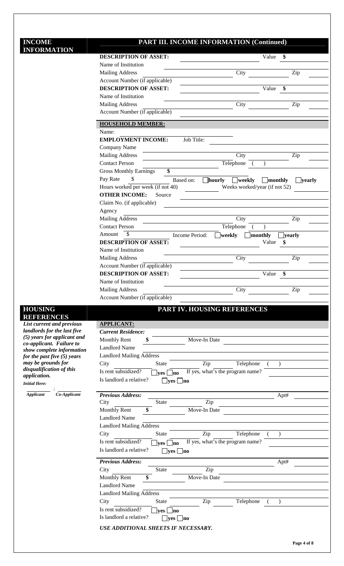#### **INCOME INFORMATION**

#### **PART III. INCOME INFORMATION (Continued)**

| <b>INFORMATION</b>                                         |                                                          |                                                                                |
|------------------------------------------------------------|----------------------------------------------------------|--------------------------------------------------------------------------------|
|                                                            | <b>DESCRIPTION OF ASSET:</b><br>Name of Institution      | \$<br>Value                                                                    |
|                                                            |                                                          | Zip                                                                            |
|                                                            | <b>Mailing Address</b><br>Account Number (if applicable) | City                                                                           |
|                                                            | <b>DESCRIPTION OF ASSET:</b>                             | Value<br>\$                                                                    |
|                                                            | Name of Institution                                      |                                                                                |
|                                                            | <b>Mailing Address</b>                                   | City<br>Zip                                                                    |
|                                                            | Account Number (if applicable)                           |                                                                                |
|                                                            |                                                          |                                                                                |
|                                                            | <b>HOUSEHOLD MEMBER:</b><br>Name:                        |                                                                                |
|                                                            | <b>EMPLOYMENT INCOME:</b>                                | Job Title:                                                                     |
|                                                            | Company Name                                             |                                                                                |
|                                                            | <b>Mailing Address</b>                                   | City<br>Zip                                                                    |
|                                                            | <b>Contact Person</b>                                    | Telephone                                                                      |
|                                                            | <b>Gross Monthly Earnings</b><br>\$                      |                                                                                |
|                                                            | Pay Rate<br>\$.                                          | Based on:<br><b>hourly</b><br>$\Box$ weekly<br>$\Box$ monthly<br>$\Box$ yearly |
|                                                            | Hours worked per week (if not 40)                        | Weeks worked/year (if not 52)                                                  |
|                                                            | <b>OTHER INCOME:</b><br>Source                           |                                                                                |
|                                                            | Claim No. (if applicable)                                |                                                                                |
|                                                            | Agency                                                   |                                                                                |
|                                                            | <b>Mailing Address</b>                                   | City<br>Zip                                                                    |
|                                                            | <b>Contact Person</b>                                    | Telephone                                                                      |
|                                                            | \$<br>Amount                                             | ]monthly<br>Income Period:<br>weekly<br><b>Jyearly</b>                         |
|                                                            | <b>DESCRIPTION OF ASSET:</b>                             | Value<br>\$                                                                    |
|                                                            | Name of Institution                                      |                                                                                |
|                                                            | <b>Mailing Address</b>                                   | Zip<br>City                                                                    |
|                                                            | Account Number (if applicable)                           |                                                                                |
|                                                            | <b>DESCRIPTION OF ASSET:</b>                             | Value<br>\$                                                                    |
|                                                            | Name of Institution                                      |                                                                                |
|                                                            | <b>Mailing Address</b>                                   | City<br>Zip                                                                    |
|                                                            | Account Number (if applicable)                           |                                                                                |
| <b>HOUSING</b>                                             |                                                          | PART IV. HOUSING REFERENCES                                                    |
| <b>REFERENCES</b>                                          |                                                          |                                                                                |
| List current and previous                                  | <b>APPLICANT:</b>                                        |                                                                                |
| landlords for the last five<br>(5) years for applicant and | <b>Current Residence:</b>                                |                                                                                |
| co-applicant. Failure to                                   | <b>Monthly Rent</b><br>\$                                | Move-In Date                                                                   |
| show complete information                                  | <b>Landlord Name</b>                                     |                                                                                |
| for the past five (5) years                                | <b>Landlord Mailing Address</b>                          |                                                                                |
| may be grounds for<br>disqualification of this             | City<br><b>State</b>                                     | Zip<br>Telephone                                                               |
| application.                                               | Is rent subsidized?<br>$\Box$ yes $\Box$ no              | If yes, what's the program name?                                               |
| <b>Initial Here:</b>                                       | Is landlord a relative?<br>$\Box$ yes                    | no                                                                             |
| Co-Applicant<br><b>Applicant</b>                           | <b>Previous Address:</b>                                 |                                                                                |
|                                                            | City<br><b>State</b>                                     | Apt#<br>Zip                                                                    |
|                                                            | \$<br><b>Monthly Rent</b>                                | Move-In Date                                                                   |
|                                                            | <b>Landlord Name</b>                                     |                                                                                |
|                                                            | <b>Landlord Mailing Address</b>                          |                                                                                |
|                                                            | City<br>State                                            | Zip<br>Telephone                                                               |
|                                                            | Is rent subsidized?<br> no<br><b>ves</b>                 | If yes, what's the program name?                                               |
|                                                            | Is landlord a relative?<br>$\Box$ yes $\Box$ no          |                                                                                |
|                                                            | <b>Previous Address:</b>                                 |                                                                                |
|                                                            | State<br>City                                            | Apt#<br>Zip                                                                    |
|                                                            | <b>Monthly Rent</b><br>\$                                | Move-In Date                                                                   |
|                                                            | <b>Landlord Name</b>                                     |                                                                                |
|                                                            | <b>Landlord Mailing Address</b>                          |                                                                                |
|                                                            | City<br>State                                            | Zip<br>Telephone                                                               |
|                                                            | Is rent subsidized?                                      |                                                                                |
|                                                            | lno<br><b>ves</b><br>Is landlord a relative?             |                                                                                |
|                                                            | $\rightharpoonup$ yes $\rightharpoonup$ no               |                                                                                |
|                                                            | <b>USE ADDITIONAL SHEETS IF NECESSARY.</b>               |                                                                                |
|                                                            |                                                          |                                                                                |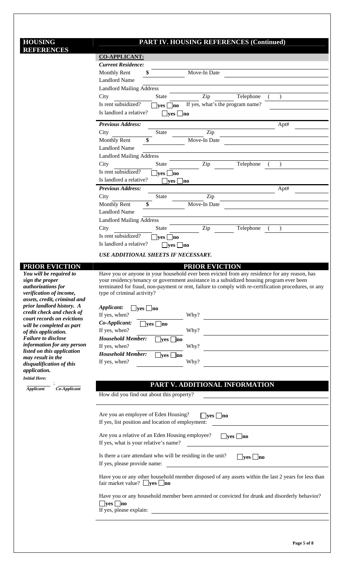#### **HOUSING REFERENCES**

### **PART IV. HOUSING REFERENCES (Continued)**

| <b>REFERENCES</b>                                        | <b>UDITO</b><br><b>ALL LADI (CD)</b> (Continueu)                                                                                                |  |  |  |
|----------------------------------------------------------|-------------------------------------------------------------------------------------------------------------------------------------------------|--|--|--|
|                                                          | <b>CO-APPLICANT:</b>                                                                                                                            |  |  |  |
|                                                          | <b>Current Residence:</b>                                                                                                                       |  |  |  |
|                                                          | Monthly Rent<br>Move-In Date<br>\$                                                                                                              |  |  |  |
|                                                          | <b>Landlord Name</b>                                                                                                                            |  |  |  |
|                                                          | <b>Landlord Mailing Address</b>                                                                                                                 |  |  |  |
|                                                          | Zip<br>Telephone<br>City<br><b>State</b>                                                                                                        |  |  |  |
|                                                          | Is rent subsidized?<br>If yes, what's the program name?<br><b>ves</b><br> no                                                                    |  |  |  |
|                                                          | Is landlord a relative?<br>$\Box$ yes $\Box$ no                                                                                                 |  |  |  |
|                                                          | <b>Previous Address:</b><br>Apt#                                                                                                                |  |  |  |
|                                                          | Zip<br>City<br>State                                                                                                                            |  |  |  |
|                                                          | Monthly Rent<br>Move-In Date<br>\$                                                                                                              |  |  |  |
|                                                          | <b>Landlord Name</b>                                                                                                                            |  |  |  |
|                                                          |                                                                                                                                                 |  |  |  |
|                                                          | <b>Landlord Mailing Address</b>                                                                                                                 |  |  |  |
|                                                          | Zip<br>Telephone<br>City<br>State                                                                                                               |  |  |  |
|                                                          | Is rent subsidized?<br>$\rule{1em}{0.15mm}$ yes $\rule{1.5mm}{0.15mm}$ no                                                                       |  |  |  |
|                                                          | Is landlord a relative?<br>$\rvert$ yes $\rvert$ no                                                                                             |  |  |  |
|                                                          | <b>Previous Address:</b><br>Apt#                                                                                                                |  |  |  |
|                                                          | City<br>Zip<br>State                                                                                                                            |  |  |  |
|                                                          | Monthly Rent<br>\$<br>Move-In Date                                                                                                              |  |  |  |
|                                                          | <b>Landlord Name</b>                                                                                                                            |  |  |  |
|                                                          | <b>Landlord Mailing Address</b>                                                                                                                 |  |  |  |
|                                                          | Zip<br>City<br><b>State</b><br>Telephone                                                                                                        |  |  |  |
|                                                          | Is rent subsidized?<br>$\vert$ yes $\vert$ no                                                                                                   |  |  |  |
|                                                          | Is landlord a relative?<br>$\Box$ yes $\Box$ no                                                                                                 |  |  |  |
|                                                          | USE ADDITIONAL SHEETS IF NECESSARY.                                                                                                             |  |  |  |
|                                                          |                                                                                                                                                 |  |  |  |
| <b>PRIOR EVICTION</b><br>You will be required to         | <b>PRIOR EVICTION</b><br>Have you or anyone in your household ever been evicted from any residence for any reason, has                          |  |  |  |
| sign the proper                                          | your residency/tenancy or government assistance in a subsidized housing program ever been                                                       |  |  |  |
| authorizations for                                       | terminated for fraud, non-payment or rent, failure to comply with re-certification procedures, or any                                           |  |  |  |
| verification of income,                                  | type of criminal activity?                                                                                                                      |  |  |  |
| assets, credit, criminal and                             |                                                                                                                                                 |  |  |  |
| prior landlord history. A<br>credit check and check of   | Applicant:<br>$\Box$ yes $\Box$ no                                                                                                              |  |  |  |
| court records on evictions                               | If yes, when?<br>Why?                                                                                                                           |  |  |  |
| will be completed as part                                | Co-Applicant:<br>$\Box$ yes $\Box$ no                                                                                                           |  |  |  |
| of this application.                                     | If yes, when?<br>Why?                                                                                                                           |  |  |  |
| <b>Failure to disclose</b>                               | <b>Household Member:</b><br>$\Box$ yes $\Box$ no                                                                                                |  |  |  |
| information for any person<br>listed on this application | If yes, when?<br>Why?                                                                                                                           |  |  |  |
| may result in the                                        | <b>Household Member:</b><br>$\Box$ yes $\Box$ no                                                                                                |  |  |  |
| disqualification of this                                 | If yes, when?<br>Why?                                                                                                                           |  |  |  |
| application.                                             |                                                                                                                                                 |  |  |  |
| <b>Initial Here:</b>                                     |                                                                                                                                                 |  |  |  |
| $Co-Applicant$<br><b>Applicant</b>                       | PART V. ADDITIONAL INFORMATION                                                                                                                  |  |  |  |
|                                                          | How did you find out about this property?                                                                                                       |  |  |  |
|                                                          |                                                                                                                                                 |  |  |  |
|                                                          | Are you an employee of Eden Housing?                                                                                                            |  |  |  |
|                                                          | $\Box$ yes $\Box$ no<br>If yes, list position and location of employment:                                                                       |  |  |  |
|                                                          |                                                                                                                                                 |  |  |  |
|                                                          | Are you a relative of an Eden Housing employee?<br>$\Box$ yes $\Box$ no                                                                         |  |  |  |
|                                                          | If yes, what is your relative's name?                                                                                                           |  |  |  |
|                                                          |                                                                                                                                                 |  |  |  |
|                                                          | Is there a care attendant who will be residing in the unit?<br>$\Box$ yes $\Box$ no                                                             |  |  |  |
|                                                          | If yes, please provide name:                                                                                                                    |  |  |  |
|                                                          |                                                                                                                                                 |  |  |  |
|                                                          | Have you or any other household member disposed of any assets within the last 2 years for less than<br>fair market value? $\Box$ yes $\Box$ no  |  |  |  |
|                                                          |                                                                                                                                                 |  |  |  |
|                                                          | Have you or any household member been arrested or convicted for drunk and disorderly behavior?                                                  |  |  |  |
|                                                          | $\Box$ yes $\Box$ no                                                                                                                            |  |  |  |
|                                                          | If yes, please explain:<br><u> 1980 - Andrea Barbara, poeta esperanto-poeta esperanto-poeta esperanto-poeta esperanto-poeta esperanto-poeta</u> |  |  |  |
|                                                          |                                                                                                                                                 |  |  |  |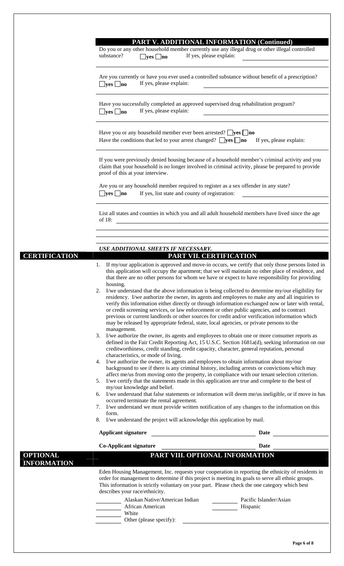|                                       | PART V. ADDITIONAL INFORMATION (Continued)<br>Do you or any other household member currently use any illegal drug or other illegal controlled                                                                                                                                                                                                                                                                                                                                                                                                                                                                                                                                                                                                                                                                                                                                                                                                                                                                                                                                                                                                                                                                                                                                                                                                                                                                                                                                                                                                                                                                                                                                                                                                                                                                                                                                                                                                                                                                                                                                                                                     |
|---------------------------------------|-----------------------------------------------------------------------------------------------------------------------------------------------------------------------------------------------------------------------------------------------------------------------------------------------------------------------------------------------------------------------------------------------------------------------------------------------------------------------------------------------------------------------------------------------------------------------------------------------------------------------------------------------------------------------------------------------------------------------------------------------------------------------------------------------------------------------------------------------------------------------------------------------------------------------------------------------------------------------------------------------------------------------------------------------------------------------------------------------------------------------------------------------------------------------------------------------------------------------------------------------------------------------------------------------------------------------------------------------------------------------------------------------------------------------------------------------------------------------------------------------------------------------------------------------------------------------------------------------------------------------------------------------------------------------------------------------------------------------------------------------------------------------------------------------------------------------------------------------------------------------------------------------------------------------------------------------------------------------------------------------------------------------------------------------------------------------------------------------------------------------------------|
|                                       | substance?<br>If yes, please explain:<br>$\Box$ yes $\Box$ no                                                                                                                                                                                                                                                                                                                                                                                                                                                                                                                                                                                                                                                                                                                                                                                                                                                                                                                                                                                                                                                                                                                                                                                                                                                                                                                                                                                                                                                                                                                                                                                                                                                                                                                                                                                                                                                                                                                                                                                                                                                                     |
|                                       | Are you currently or have you ever used a controlled substance without benefit of a prescription?<br>If yes, please explain:<br>$\Box$ yes $\Box$ no                                                                                                                                                                                                                                                                                                                                                                                                                                                                                                                                                                                                                                                                                                                                                                                                                                                                                                                                                                                                                                                                                                                                                                                                                                                                                                                                                                                                                                                                                                                                                                                                                                                                                                                                                                                                                                                                                                                                                                              |
|                                       | Have you successfully completed an approved supervised drug rehabilitation program?<br>If yes, please explain:<br>$\Box$ yes $\Box$ no                                                                                                                                                                                                                                                                                                                                                                                                                                                                                                                                                                                                                                                                                                                                                                                                                                                                                                                                                                                                                                                                                                                                                                                                                                                                                                                                                                                                                                                                                                                                                                                                                                                                                                                                                                                                                                                                                                                                                                                            |
|                                       | Have you or any household member ever been arrested? $\Box$ yes $\Box$ no<br>Have the conditions that led to your arrest changed? $\Box$ <b>yes</b> $\Box$ <b>no</b> If yes, please explain:                                                                                                                                                                                                                                                                                                                                                                                                                                                                                                                                                                                                                                                                                                                                                                                                                                                                                                                                                                                                                                                                                                                                                                                                                                                                                                                                                                                                                                                                                                                                                                                                                                                                                                                                                                                                                                                                                                                                      |
|                                       | If you were previously denied housing because of a household member's criminal activity and you<br>claim that your household is no longer involved in criminal activity, please be prepared to provide<br>proof of this at your interview.                                                                                                                                                                                                                                                                                                                                                                                                                                                                                                                                                                                                                                                                                                                                                                                                                                                                                                                                                                                                                                                                                                                                                                                                                                                                                                                                                                                                                                                                                                                                                                                                                                                                                                                                                                                                                                                                                        |
|                                       | Are you or any household member required to register as a sex offender in any state?<br>If yes, list state and county of registration:<br>$\Box$ yes $\Box$ no                                                                                                                                                                                                                                                                                                                                                                                                                                                                                                                                                                                                                                                                                                                                                                                                                                                                                                                                                                                                                                                                                                                                                                                                                                                                                                                                                                                                                                                                                                                                                                                                                                                                                                                                                                                                                                                                                                                                                                    |
|                                       | List all states and counties in which you and all adult household members have lived since the age<br>of 18:                                                                                                                                                                                                                                                                                                                                                                                                                                                                                                                                                                                                                                                                                                                                                                                                                                                                                                                                                                                                                                                                                                                                                                                                                                                                                                                                                                                                                                                                                                                                                                                                                                                                                                                                                                                                                                                                                                                                                                                                                      |
|                                       |                                                                                                                                                                                                                                                                                                                                                                                                                                                                                                                                                                                                                                                                                                                                                                                                                                                                                                                                                                                                                                                                                                                                                                                                                                                                                                                                                                                                                                                                                                                                                                                                                                                                                                                                                                                                                                                                                                                                                                                                                                                                                                                                   |
| <b>CERTIFICATION</b>                  | USE ADDITIONAL SHEETS IF NECESSARY.<br>PART VII. CERTIFICATION                                                                                                                                                                                                                                                                                                                                                                                                                                                                                                                                                                                                                                                                                                                                                                                                                                                                                                                                                                                                                                                                                                                                                                                                                                                                                                                                                                                                                                                                                                                                                                                                                                                                                                                                                                                                                                                                                                                                                                                                                                                                    |
|                                       | 1. If my/our application is approved and move-in occurs, we certify that only those persons listed in<br>this application will occupy the apartment; that we will maintain no other place of residence, and<br>that there are no other persons for whom we have or expect to have responsibility for providing<br>housing.<br>2. I/we understand that the above information is being collected to determine my/our eligibility for<br>residency. I/we authorize the owner, its agents and employees to make any and all inquiries to<br>verify this information either directly or through information exchanged now or later with rental,<br>or credit screening services, or law enforcement or other public agencies, and to contract<br>previous or current landlords or other sources for credit and/or verification information which<br>may be released by appropriate federal, state, local agencies, or private persons to the<br>management.<br>3. I/we authorize the owner, its agents and employees to obtain one or more consumer reports as<br>defined in the Fair Credit Reporting Act, 15 U.S.C. Section 1681a(d), seeking information on our<br>creditworthiness, credit standing, credit capacity, character, general reputation, personal<br>characteristics, or mode of living.<br>4. I/we authorize the owner, its agents and employees to obtain information about my/our<br>background to see if there is any criminal history, including arrests or convictions which may<br>affect me/us from moving onto the property, in compliance with our tenant selection criterion.<br>5. I/we certify that the statements made in this application are true and complete to the best of<br>my/our knowledge and belief.<br>6. I/we understand that false statements or information will deem me/us ineligible, or if move in has<br>occurred terminate the rental agreement.<br>7. I/we understand we must provide written notification of any changes to the information on this<br>form.<br>I/we understand the project will acknowledge this application by mail.<br>8.<br><b>Applicant signature</b><br>Date |
|                                       | <b>Co-Applicant signature</b><br>Date                                                                                                                                                                                                                                                                                                                                                                                                                                                                                                                                                                                                                                                                                                                                                                                                                                                                                                                                                                                                                                                                                                                                                                                                                                                                                                                                                                                                                                                                                                                                                                                                                                                                                                                                                                                                                                                                                                                                                                                                                                                                                             |
| <b>OPTIONAL</b><br><b>INFORMATION</b> | PART VIII. OPTIONAL INFORMATION                                                                                                                                                                                                                                                                                                                                                                                                                                                                                                                                                                                                                                                                                                                                                                                                                                                                                                                                                                                                                                                                                                                                                                                                                                                                                                                                                                                                                                                                                                                                                                                                                                                                                                                                                                                                                                                                                                                                                                                                                                                                                                   |
|                                       | Eden Housing Management, Inc. requests your cooperation in reporting the ethnicity of residents in<br>order for management to determine if this project is meeting its goals to serve all ethnic groups.<br>This information is strictly voluntary on your part. Please check the one category which best<br>describes your race/ethnicity.                                                                                                                                                                                                                                                                                                                                                                                                                                                                                                                                                                                                                                                                                                                                                                                                                                                                                                                                                                                                                                                                                                                                                                                                                                                                                                                                                                                                                                                                                                                                                                                                                                                                                                                                                                                       |
|                                       | Alaskan Native/American Indian<br>Pacific Islander/Asian<br>Hispanic<br>African American<br>White<br>Other (please specify):                                                                                                                                                                                                                                                                                                                                                                                                                                                                                                                                                                                                                                                                                                                                                                                                                                                                                                                                                                                                                                                                                                                                                                                                                                                                                                                                                                                                                                                                                                                                                                                                                                                                                                                                                                                                                                                                                                                                                                                                      |
|                                       |                                                                                                                                                                                                                                                                                                                                                                                                                                                                                                                                                                                                                                                                                                                                                                                                                                                                                                                                                                                                                                                                                                                                                                                                                                                                                                                                                                                                                                                                                                                                                                                                                                                                                                                                                                                                                                                                                                                                                                                                                                                                                                                                   |

ヿ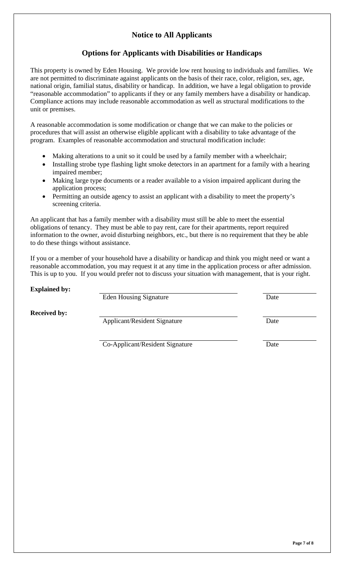## **Notice to All Applicants**

### **Options for Applicants with Disabilities or Handicaps**

This property is owned by Eden Housing. We provide low rent housing to individuals and families. We are not permitted to discriminate against applicants on the basis of their race, color, religion, sex, age, national origin, familial status, disability or handicap. In addition, we have a legal obligation to provide "reasonable accommodation" to applicants if they or any family members have a disability or handicap. Compliance actions may include reasonable accommodation as well as structural modifications to the unit or premises.

A reasonable accommodation is some modification or change that we can make to the policies or procedures that will assist an otherwise eligible applicant with a disability to take advantage of the program. Examples of reasonable accommodation and structural modification include:

- Making alterations to a unit so it could be used by a family member with a wheelchair;
- Installing strobe type flashing light smoke detectors in an apartment for a family with a hearing impaired member;
- Making large type documents or a reader available to a vision impaired applicant during the application process;
- Permitting an outside agency to assist an applicant with a disability to meet the property's screening criteria.

An applicant that has a family member with a disability must still be able to meet the essential obligations of tenancy. They must be able to pay rent, care for their apartments, report required information to the owner, avoid disturbing neighbors, etc., but there is no requirement that they be able to do these things without assistance.

If you or a member of your household have a disability or handicap and think you might need or want a reasonable accommodation, you may request it at any time in the application process or after admission. This is up to you. If you would prefer not to discuss your situation with management, that is your right.

| <b>Explained by:</b> |                                     |      |
|----------------------|-------------------------------------|------|
|                      | <b>Eden Housing Signature</b>       | Date |
| <b>Received by:</b>  |                                     |      |
|                      | <b>Applicant/Resident Signature</b> | Date |
|                      |                                     |      |
|                      | Co-Applicant/Resident Signature     | Date |